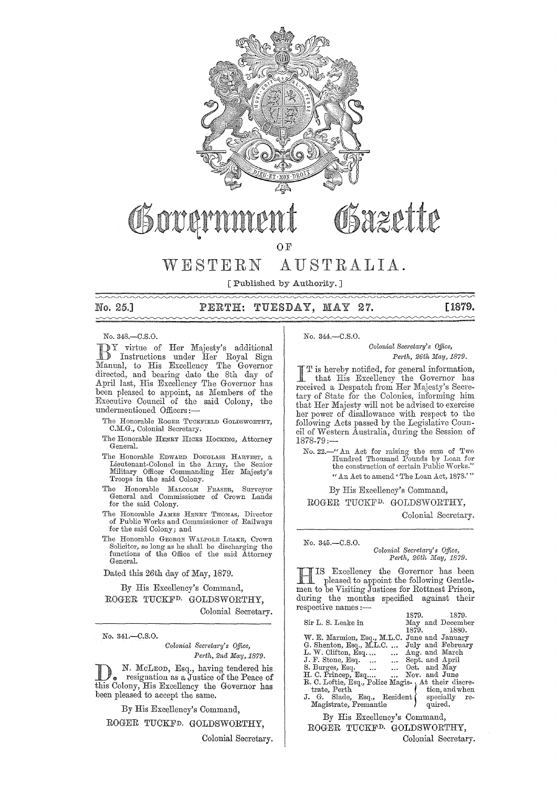

# Osazette

OF

# WESTERN AUSTRALIA.

[Published by Authority. ] 

## No. 25.] PERTH: TUESDAY, MAY 27. [1879.

No. 348.-C.S.O.

DY virtue of Her Majesty's additional<br>D Instructions under Her Royal Sign Manual, to His Excellency The Governor directed, and bearing date the 8th day of April last, His Excellency The Governor has been pleased to appoint, as Members of the Executive Oouncil of the said Oolony, the undermentioned Officers:-

- The Honorable ROGER TUCKFIELD GOLDSWORTHY, C.M.G., Colonial Secretary.
- The Honorable HENRY HICKS HOCKING, Attorney General.
- '1'he Honorable EDWARD DOUGLASS HARVEST, a Lieutenant-Colonel in the Armv, the Senior Military Officer Commanding Her Majesty's Troops in the said Colony.
- The Honorable MALCOLM FRASER, Surveyor General and Commissioner of Crown Lands for the said Colony.
- The Honorable JAMES HENRY THOMAS, Director of Public VVorks and Commissioner of Railways for the said Colony; and
- The Honorable GEORGE WALFOLE LEARE, Crown Solicitor, so long as he shall be discharging the functions of the Office of the said Attorney General.

Dated this 26th day of May, 1879.

By His Excellency's Command, ROGER TUCKFD. GOLDSWORTHY,

Oolonial Secretary.

No. 341.-C.S.O.

*Colonial Sem'etary's o.Uice, Perth, 2nd May, 1879.* 

N. McLeon, Esq., having tendered his resignation as a Justice of the Peace of this Colony, His Excellency the Governor has been pleased to accept the same.

By His Excellency's Command,

ROGER TUOKFD. GOLDSWORTHY,

Colonial Secretary.

#### No. 344.-C.S.0.

*Colonial Secretary's Office, Perth, 26th May, 1879.* 

I T is hereby notified, for general information,<br>that His Excellency the Governor has<br>meeting Connected from Her Maintr's Source received a Despatch from Her Majesty's Secretary of State for the Colonies, informing him that Her Majesty will not be advised to exercise her power of disallowance with respect to the following Acts passed by the Legislative Council of Western Australia, during the Session of 1878-79:-

No. 22.-" An Act for raising the sum of *Two*<br>
Hundred Thousand Pounds by Loan for<br>
the construction of certain Public Works." " An Act to amend' The Loan Act, 187S.' "

By His Excellency's Oommand,

ROGER TUOKFD. GOLDSWORTHY,

Colonial Secretary.

No. 345.-C.S.O.

 $Colonial$  Secretary's Office, *Perth, 26th Iuay, 1879.* 

**HIS Excellency the Governor has been**<br>pleased to appoint the following Gentle-<br>men to be Viciting Institute for Bottnert Prices men to be Visiting Justices for Rottnest Prison, during the months specified against their<br>respective names :— 1879. lS79.

|                                                    | 1019. 1019.       |                  |
|----------------------------------------------------|-------------------|------------------|
| Sir L. S. Leake in                                 |                   | May and December |
|                                                    | 1879. 1880.       |                  |
| W. E. Marmion, Esq., M.L.C. June and January       |                   |                  |
| $G.$ Shenton, Esq., M.L.C.                         | July and February |                  |
| L. W. Clifton, Esq                                 | Aug. and March    |                  |
| J. F. Stone, Esq.   Sept. and April                |                   |                  |
| S. Burges, Esq.   Oct. and May                     |                   |                  |
| H. C. Princep, Esq  Nov. and June                  |                   |                  |
| R. C. Loftie, Esq., Police Magis- At their discre- |                   |                  |
| trate, Perth                                       |                   | tion, and when   |
| J. G. Slade, Esq., Resident (specially re-         |                   |                  |
| Magistrate, Fremantle                              |                   | quired.          |
|                                                    |                   |                  |

Ey His Excellency's Command, ROGER TUCKFD. GOLDSWORTHY, Colonial Secretary.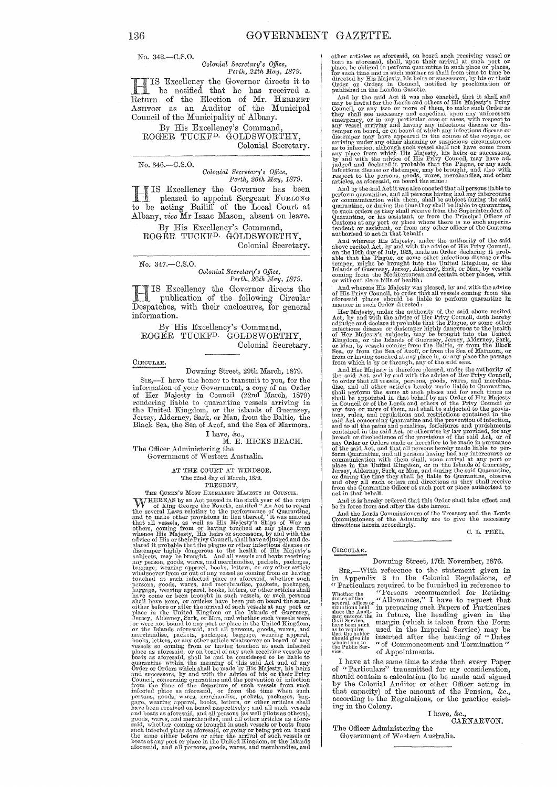No. 342.-C.S.0.

# *Oolonial Secreta1'y's Office, Pe1·th, 24th lIfc,y, 1879.*

Excellency the Governor directs it to be notified that he has received a Heturn of the Election of Mr. HERBERT ASHTON as an Auditor of the Municipal Council of the Municipality of Albany.

By His Excellency's Command, ROGER TUCKFD. GOLDSWORTHY, Colonial Secretary.

No. 346.-C.S.0. *Oolonial Secretary's o.fJice, Pel·th, 26th May, 1879.* 

**THE SE Excellency the Governor has been**<br>pleased to appoint Sergeant FURLONG IS Excellency the Governor has been to be acting Bailiff of the Local Court at Albany, *vice* Mr Isaac Mason, absent on leave.

By His Excellency's Command, ROGER TUCKFD. GOLDSWORTHY, Colonial Secretary.

No. 347.-C.S.O.

*Oolonial Secreta?'Y's Office, Pel'th, 26th Mcty, 1879.* 

**Figure 118** Excellency the Governor directs the publication of the following Circular Description of the following Circular Despatcbes, with their enclosures, for general information.

By His Excellency's Command, ROGER TUCKFD. GOLDSWORTHY, Colonial Secretary.

#### CIRCULAR.

Downing Street, 29th March, 1879.

SIR,-I have the honor to transmit to you, for the information of your Government, a copy of an Order<br>of Her Majesty in Council (22nd March, 1879)<br>rendering liable to quarantine vessels arriving in<br>the United Kingdom, or the islands of Guernsey,<br>Jersey, Alderney, Sark, or Black Sea, the Sea of Azof, and the Sea of Marmora.

I have, &c., M. E. HICKS BEACH.

The Officer Administering the Government of Western Australia.

> AT THE COURT AT WINDSOR. The 22nd day of March, 1879.<br>PRESENT,

FRESENT,<br>
THE QUEEN'S MOST EXCELLENT MAJESTY IN COUNCIL.<br>
WHEREAS by an Act passed in the sixth year of the reign<br>
of King George the Fourth, entitled "An Act to repeal<br>
the several Laws relating to the performance of Quar elured it probable that the plague or other infectious disease or distemper highly dangerous to the health of His Majesty's subjects, may be brought. And all vessels and boats receiving any person, goods, wares, and merchandise, packets, packages, baggage, wearing apparel, books, letters, or any other article whatsoever from or out of any vessel so coming from or having touched at such infected place as aforesaid, whether such presons, goods, wares, and merchandise, baggage, wearing apparel, books, letters, or other articles shall have come or been brought in such susple, or such persons shall shall have gone, or articles have been put on board the same, cither before or after the arr Jersey, Alderney, Sark, or Man, and whether such vessels were or were not bound to any port or place in the United Kingdom, or the Islands aforesaid, and all persons, goods, wares, and merchandise, packets, packages, bagga books, letters, or any other article whatsoever on board of any vessels so coming from or having touched at such infected place as aforesaid, or on board of any such receiving vessels or boats as aforesaid, shall be and be Council, concerning quarantine and the prevention of infection<br>from the time of the departure of such vessels from such<br>infected place as aforesaid, or from the time when such<br>persons, goods, wares, merchandise, packets, p gage, wearing apparel, books, letters, or other articles shall have been received on board respectively; and all such and boats as aforesaid, and all persons (as well pilots as others), goods, wares, and merchandise, and a other articles as aforesaid, on board such receiving vessel or boat as aforesaid, shall, upon their arrival at such port or place, be obliged to perform quarantine in such place or places, for such time and in studient of

And by the said Act it was also enacted, that it shall and may be lawful for the Lords and others of His Majesty's Privy Council, or any two or more of them, to make such Order as they shall see necessary and expedient upon any uniforeseen emergency, or in any particular case or cases, with respect to any vessel arriving and having any infec temper on board, or on board of which any infectious disease or distemper may have appeared in the course of the voyage, or arriving under any other alarming or suspicious circumstances as to infection, although such any p

articles, as atoresaid, on board the same :<br>And by the said Acti was also enacted that all persons liable to<br>perform quarantine, and all persons having had any intercourse<br>or communication with them, shall be subject durin

And whereas His Majesty, under the authority of the said<br>above recited Act, by and with the advice of His Frity Council,<br>on the 19th day of July, 1825, made an Order declaring it prob-<br>able that the Plague, or some other i coming from the Mediterranean and certain other places, with or without clean bills of health :

And whereas His Majesty was pleased, by and with the advice of His Privy Conncil, to order that all vessels coming from the aforesaid places should be Unlbe to perform quarantine in manner in such Order directed:

Her Majesty, under the authority of. the said above recited Act, by and with the advice of Her Privy Council, doth hereby adjudge and declare it probable that the Plague, or some other<br>infectious disease or distemper highly dangerous to the health<br>of Her Majesty's subjects, may be brought into the United<br>Kingdom, or the Islands of Guerney, Je

And Her Majesty is therefore pleased, under the authority of the said  $\mathrm{Act}_k$  and by and with the advice of Her Privy Council, to order that all vessels, persons, goods, wares, and merchandise, and all other articles her ions, rules, and regulations and restrictions contained in the said Act concerning Quarantine and the prevention of infection, and to all the pains and penalties, forthcrees and punishments contained in the said Act, or th Jersey, Alderney, Sark, or Man, and during the said Quarantine, or during the time they shall be liable to Quarantine, observe and obey all such orders and directions as they shall receive from the Quarantine Officer at su

And it is hereby ordered that this Order shall take effect and be in force from and after the date hereof.

And the Lords Commissioners of the Treasury and the Lords Commissioners of the Admiralty are to give the necessary directions herein accordingly.

C. L. PEEL.

#### CIRCULAR.

#### Downing Street, 17th November, 1876.

SIR,—With reference to the statement given in<br>in Appendix 2 to the Colonial Regulations, of<br>"Particulars required to be furnished in reference to Whether the "Persons recommended for Retiring dutes of the served offices or "Allowances," I have to request that situations held in preparing such Papers of Particulars since the Appli-<br>cant entered the in future, the heading given in the  $_{\text{have been such}}^{\text{Civil Service}}$  margin (which is taken from the Form  $\frac{1}{n}$  is to require  $\frac{1}{n}$  used in the Imperial Service) may be that the heading of "Dates spoke the conduction of Commencement and Termination "<br>the Fublic Ser-<br>vice. of Appointments.

I have at the same time to state that every Paper of "Particulars" transmitted for my consideration, should contain a calculation (to be made and signed by the Colonial Auditor or other Officer acting in that capacity) of the amount of the Pension, &c., according to the Regulations, or the practice existing in the Colony.

I have, &c., CARNARVON.

The Officer Administering the Government of Western Australia.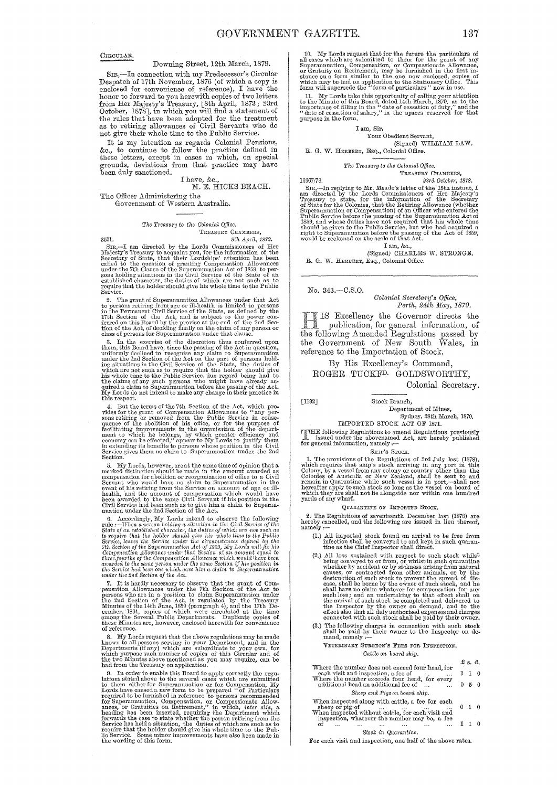CIRCULAR.

#### Downing Street, 12th March, 1879.

SIR. - In connection with my Predecessor's Circular Despatch of 17th November, 1876 (of which a copy is Despatch of 17th November, 1876 (of which a copy is<br>enclosed for convenience of reference), I have the<br>honor to forward to you herewith copies of two letters<br>from Her Majesty's Treasury, [8th April, 1873; 23rd<br>October, 187 not give their whole time to the Public Service.

It is my intention as regards Colonial Pensions, &c., to continue to follow the practice defined in these letters, except in cases in which, on special grounds, deviations from that practice may have been duly sanctioned.

I have, &c.,  $\texttt{M. E. HICKS BEACH.}$ 

The Officer Administering the Government of Western Australia.

#### The Treasury to the Colonial Office. TREASURY CHAMBERS, 8th April, 1873.

3501.  $sub.$   $sub.$ <br>Sun.  $sub.$ <br>Sin,—I am directed by the Lords Commissioners of Her Majesty's Treasury to acquaint you, for the information of the Secretary of State, that their Lordships' attention has been called to the question o

between<br>2. The grant of Superanmuation Allowances under that Act<br>2. The grant of Superanmuation Allowances under that Act<br>4. The Permanent Civil Service of the State, as defined by the<br>17th Section of the Act, and is usuj

class of persons for Superannuation under that clause.<br>
3. In the exercise of the discretion thus conferred upon<br>
them, this Board have, since the passing of the Act in question,<br>
uniformly declined to recognise any claim this respect.

d. But the terms of the 7th Section of the Act, which pro-<br> $\dot{q}$ . But the terms of the 7th Section Allowances to "any per-<br>sons retiring or removed from the Public Service in conse-<br>quence of the abolition of his office Section.

Section.<br>
Section.<br>
S. My Lords, however, are the same time of opinion that a<br>
marked distinction is and the model in the amount awarded as<br>
compensation for abolition or reorganization of office to a Civil<br>
Servant who w

the rine rate section by the Act.<br>The instally necessary to observe that the grant of Componsation Allowances under the 7th Section of the Act to<br>persons who are in a position to claim Superanutation under<br>the 2nd Section of reference.

8. My Lords request that the above regulations may be made<br>known to all persons serving in your Department, and in the<br>Departments (if any) which are subordinate to your own, for<br>which purpose such number of copies of thi

had from the Treasury on application.<br>
In the free surface of the space of top ply correctly the regulations stated above to the is Board to apply correctly the regulations stated above to the several cases which are subm

10. My Lords request that for the future the particulars of all cases which are submitted to them for the grant of any Superannuation, Compensation, or Compassionate Allowance, or Gratuity on Retirement, may be furnished

11. My Lords take this opportunity of calling your attention<br>11. My Lords take this opportunity of calling your attention<br>to the Minute of this Board, dated 14th March, 1870, as to the<br>importance of filling in the "date o

#### I am, Sir,

#### Your Obedient Servant,

(Signed) WILLIAM LAW. R. G. W. HERBERT, Esq., Colonial Office.

The Treasury to the Colonial Office.

TREASURY CHAMBERS,

23rd October, 1878.

16667/78. 1696///8.<br>
1996//. The merger of Mr. Meade's letter of the 15th instant, I<br>
SIR, —In replying to Mr. Meade's letter of the 15th instant, I<br>
am directed by the Lords Commissioners of Her Majesty's<br>
Treasury to state, for t

I am, &c.,<br>(Signed) CHARLES W. STRONGE. R. G. W. HERBERT, Esq., Colonial Office.

No. 343.-C.S.O.

Colonial Secretary's Office,<br>Perth, 24th May, 1879.

IS Excellency the Governor directs the publication, for general information, of the following Amended Regulations passed by<br>the Government of New South Wales, in reference to the Importation of Stock.

By His Excellency's Command,

ROGER TUCKF<sup>D.</sup> GOLDSWORTHY, Colonial Secretary.

 $[1192]$ 

Stock Branch. Department of Mines,

 $$\rm$  Sydney, 28th March, 1879. IMPORTED STOCK ACT OF 1871.

FIME following Regulations to amend Regulations previously<br>issued under the abovenamed Act, are hereby published<br>for general information, namely :--

#### SHIP'S STOCK.

SHIP'S STOCK.<br>
SHIP'S STOCK.<br>
I. The provisions of the Regulations of 3rd July last (1878),<br>
which requires that ship's stock arriving in any port in this<br>
Colony, by a vessel from any colony or country other than the<br>
Co

#### QUARANTINE OF IMPORTED STOCK.

2. The Regulations of seventeenth December last (1878) are<br>hereby cancelled, and the following are issued in lieu thereof,<br>namely :-

- (1.) All imported stock found on arrival to be free from infection shall be conveyed to and kept in such quarantine as the Chief Inspector shall direct.
- (2) All loss sustained with respect to such stock whilst<br>
(2) All loss sustained with respect to such stock whilst<br>
being conveyed to or from, or whilst in such quarantine<br>
whether by accident or by sickness arising from
- (3.) The following charges in connection with such stock shall be paid by their owner to the Inspector on demand, namely :--

VETERINARY SURGEON'S FEES FOR INSPECTION. Cattle on board ship.

£ s. d. Where the number does not exceed four head, for each visit and inspection, a fee of  $\cdots$  where the number exceeds four head, for every additional head an additional fee of  $\cdots$  $1 \quad 1 \quad 0$ 

 $050$ 

#### Sheep and Pigs on board ship.

When inspected along with cattle, a fee for each  $0 \quad 1 \quad 0$  $110$ 

Stock in Quarantine.

For each visit and inspection, one half of the above rates.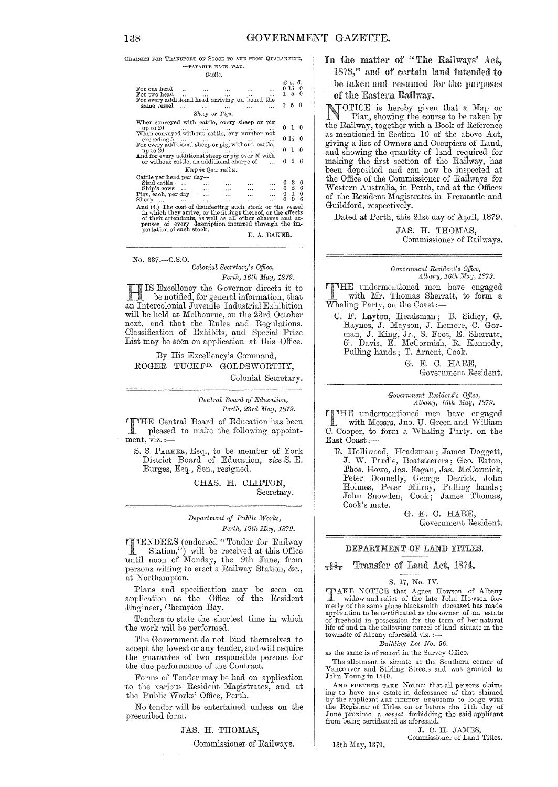CHARGES FOR TRANSPORT OF STOCK TO AND FROM QUARANTINE. -PAYABLE EACH WAY.

| Cattle.                                                                                                                                                                                                                                          |                                                                          |                                           |                                                                 |  |  |  |  |  |  |  |  |  |
|--------------------------------------------------------------------------------------------------------------------------------------------------------------------------------------------------------------------------------------------------|--------------------------------------------------------------------------|-------------------------------------------|-----------------------------------------------------------------|--|--|--|--|--|--|--|--|--|
| For one head $\dots$<br>$\cdots$<br>$\cdots$<br>For two head $\dots$<br>$\cdots$<br>$\mathbf{r}$<br>For every additional head arriving on board the<br>same vessel<br>$\sim$ $\sim$ $\sim$<br>$\mathbf{r}$<br>$\ddotsc$<br>Sheep or Pigs.        |                                                                          | £s.d.<br>0150<br>150<br>$0\quad 5\quad 0$ |                                                                 |  |  |  |  |  |  |  |  |  |
|                                                                                                                                                                                                                                                  |                                                                          |                                           |                                                                 |  |  |  |  |  |  |  |  |  |
| When conveyed with cattle, every sheep or pig<br>up to 20<br>when conveyed without cattle, any number not                                                                                                                                        |                                                                          | 010                                       |                                                                 |  |  |  |  |  |  |  |  |  |
| $exceeding 5 \dots$<br>exceeding b        For every additional sheep or pig, without cattle,                                                                                                                                                     |                                                                          | 0150                                      |                                                                 |  |  |  |  |  |  |  |  |  |
| up to 20                                                                                                                                                                                                                                         |                                                                          | 010                                       |                                                                 |  |  |  |  |  |  |  |  |  |
| or without cattle, an additional charge of                                                                                                                                                                                                       | 0.                                                                       | $\theta$                                  | 6                                                               |  |  |  |  |  |  |  |  |  |
| Keep in Quarantine.                                                                                                                                                                                                                              |                                                                          |                                           |                                                                 |  |  |  |  |  |  |  |  |  |
| Cattle per head per day-                                                                                                                                                                                                                         |                                                                          |                                           |                                                                 |  |  |  |  |  |  |  |  |  |
| Stud cattle                                                                                                                                                                                                                                      | $\begin{array}{cc}\n\cdots & 0 \\ \cdots & 0 \\ \cdots & 0\n\end{array}$ |                                           | $\begin{smallmatrix} 3 & 0 \\ 2 & 6 \\ 1 & 0 \end{smallmatrix}$ |  |  |  |  |  |  |  |  |  |
| $\text{Ship's cows} \dots$<br>$\cdots$<br>$\ddotsc$                                                                                                                                                                                              |                                                                          |                                           |                                                                 |  |  |  |  |  |  |  |  |  |
| Pigs, each, per day<br>$\mathbf{r}$<br>$\cdots$                                                                                                                                                                                                  |                                                                          |                                           |                                                                 |  |  |  |  |  |  |  |  |  |
| Sheep $\dots$ $\dots$<br>and the con-<br>$\cdots$<br>$\cdots$                                                                                                                                                                                    | 0                                                                        | $\Omega$                                  | 6                                                               |  |  |  |  |  |  |  |  |  |
| And (4.) The cost of disinfecting such stock or the vessel<br>in which they arrive, or the fittings thereof, or the effects<br>of their attendants, as well as all other charges and ex-<br>penses of every description incurred through the im- |                                                                          |                                           |                                                                 |  |  |  |  |  |  |  |  |  |

#### No. 337 .- C.S.O. Colonial Secretary's Office,

Perth, 16th May, 1879.  $\prod_{\text{the non-triangle form}}$  IS Excellency the Governor directs it to be notified, for general information, that an Intercolonial Juvenile Industrial Exhibition will be held at Melbourne, on the 23rd October next, and that the Rules and Regulations. Classification of Exhibits, and Special Prize List may be seen on application at this Office.

By His Excellency's Command, ROGER TUCKF<sup>D.</sup> GOLDSWORTHY,

Colonial Secretary.

Central Board of Education, Perth, 23rd May, 1879.

TTHE Central Board of Education has been<br>pleased to make the C.V pleased to make the following appointment, viz. :-

S. S. PARKER, Esq., to be member of York District Board of Education, vice S. E. Burges, Esq., Sen., resigned.

> CHAS. H. CLIFTON. Secretary.

#### Department of Public Works, Perth, 12th May, 1879.

**TENDERS** (endorsed "Tender for Railway Station,") will be received at this Office<br>until noon of Monday, the 9th June, from persons willing to erect a Railway Station, &c., at Northampton.

Plans and specification may be seen on application at the Office of the Resident Engineer, Champion Bay.

Tenders to state the shortest time in which the work will be performed.

The Government do not bind themselves to accept the lowest or any tender, and will require the guarantee of two responsible persons for the due performance of the Contract.

Forms of Tender may be had on application to the various Resident Magistrates, and at the Public Works' Office, Perth.

No tender will be entertained unless on the prescribed form.

JAS. H. THOMAS,

Commissioner of Railways.

In the matter of "The Railways' Act. 1878," and of certain land intended to be taken and resumed for the purposes of the Eastern Railway.

OTICE is hereby given that a Map or Plan, showing the course to be taken by the Railway, together with a Book of Reference as mentioned in Section 10 of the above Act. giving a list of Owners and Occupiers of Land, and showing the quantity of land required for making the first section of the Railway, has been deposited and can now be inspected at the Office of the Commissioner of Railways for Western Australia, in Perth, and at the Offices of the Resident Magistrates in Fremantle and Guildford, respectively.

Dated at Perth, this 21st day of April, 1879.

JAS. H. THOMAS, Commissioner of Railways.

#### Government Resident's Office. Albany, 16th May, 1879.

**TIME** undermentioned men have engaged with Mr. Thomas Sherratt, to form a Whaling Party, on the Coast:-

C. F. Layton, Headsman; B. Sidley, G. Haynes, J. Mayson, J. Lemore, C. Gorman, J. King, Jr., S. Foot, E. Sherratt, G. Davis, E. McCormish, R. Kennedy, Pulling hands; T. Arnent, Cook.

> G. E. C. HARE, Government Resident.

Government Resident's Office, Albany, 16th May, 1879.

**TIME** undermentioned men have engaged with Messrs, Jno. U. Green and William C. Cooper, to form a Whaling Party, on the East Coast:-

R. Holliwood, Headsman; James Doggett, J. W. Pardie, Boatsteerers; Geo. Eaton, Thos. Howe, Jas. Fagan, Jas. McCormick, Peter Donnelly, George Derrick, John Holmes, Peter Milroy, Pulling hands;<br>John Snowden, Cook; James Thomas, Cook's mate.

G. E. C. HARE, Government Resident.

#### DEPARTMENT OF LAND TITLES.

#### $7896$ Transfer of Land Act, 1874.

#### S. 17, No. IV.

FINAKE NOTICE that Agnes Howson of Albany widow and relict of the late John Howson formerly of the same place blacksmith deceased has made merly on the same place backsmini deceased has made<br>of freehold in possession for the term of her natural<br>life of and in the following parcel of land situate in the<br>townsite of Albany aforesaid viz. :—

#### Building Lot No. 56.

as the same is of record in the Survey Office.

The allotment is situate at the Southern corner of Vancouver and Stirling Streets and was granted to John Young in 1840.

AND FURTHER TAKE NOTICE that all persons claim-AND FUCKLE TAKE NOTES that all persons claimed<br>by the applicant are necessare of that claimed<br>by the applicant are necessare required to lodge with<br>the Registrar of Titles on or before the 11th day of<br>June proximo a *cavea* 

J. C. H. JAMES, Commissioner of Land Titles.

15th May, 1879.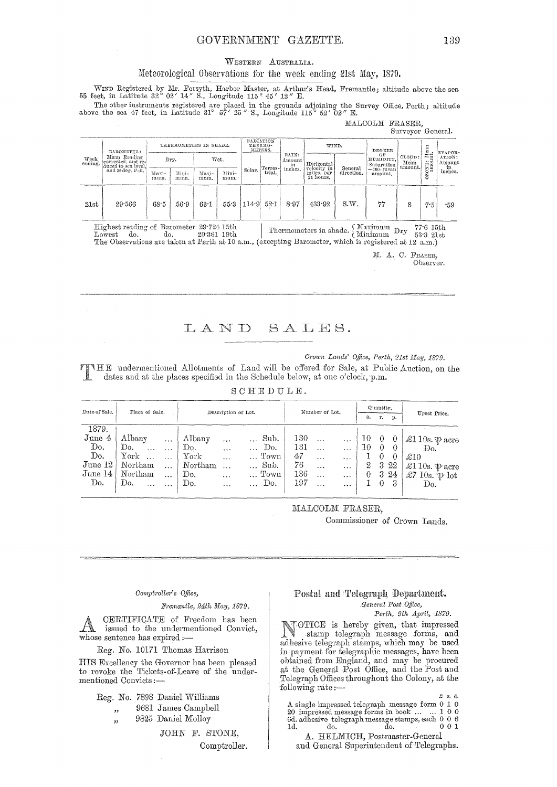#### WESTERN AUSTRALIA.

#### Meteorological Observations for the week ending 21st May, 1879.

WIND Registered by Mr. Forsyth, Harbor Master, at Arthur's Head, Fremantle; altitude above the sea 55 feet, in Latitude 32° 02' 14" S., Longitude 115 ° 45' 12" E.

The other instruments registered are placed in the grounds adjoining the Survey Office, Perth; altitude above the sea 47 feet, in Latitude 31° 57' 25" S., Longitude 115° 52' 02" E.

#### MALCOLM FRASER, Surveyor General.

|                 | BAROMETER:<br>Mean Reading<br>corrected, and re-<br>duced to sea level,<br>and 32 deg, Fah,                                                                                                                                                                                                                                                          | THERMOMETERS IN SHADE. |               |               |               | RADIATION<br>THERMO-<br>METERS. |                             | WIND.                 |                                                      | <b>DEGREE</b>         |                                                           |                           | EVAPOR-   |                                    |
|-----------------|------------------------------------------------------------------------------------------------------------------------------------------------------------------------------------------------------------------------------------------------------------------------------------------------------------------------------------------------------|------------------------|---------------|---------------|---------------|---------------------------------|-----------------------------|-----------------------|------------------------------------------------------|-----------------------|-----------------------------------------------------------|---------------------------|-----------|------------------------------------|
| Week<br>ending. |                                                                                                                                                                                                                                                                                                                                                      |                        | Dry.          |               | Wet.          |                                 | Terres-<br>Solar.<br>trial. | RAIN:<br>Amount<br>in | Horizontal<br>velocity in<br>miles, per<br>24 hours. | General<br>direction. | оF<br>HUMIDITY,<br>Saturation<br>== 100 : mean<br>amount. | CLOUD:<br>Mean<br>amount. | ONE: Mean | ATION:<br>Amount<br>in.<br>inches. |
|                 |                                                                                                                                                                                                                                                                                                                                                      | Maxi-<br>mum.          | Mini-<br>mum. | Maxi-<br>mum. | Mini-<br>mum. |                                 |                             | inches.               |                                                      |                       |                                                           |                           | Š         |                                    |
| 21st            | 29.566                                                                                                                                                                                                                                                                                                                                               | 68.5                   | 56.9          | 63.1          | 55.3          | 114.9                           | $52 - 1$                    | 8.97                  | 433.92                                               | S.W.                  | 77                                                        | 8                         | 7.5       | -59                                |
|                 | Highest reading of Barometer 29.724 15th<br>Thermometers in shade. $\left\{\begin{array}{c} \text{Maximum} \\ \text{Minimum} \end{array}\right. \text{Dry}$<br>77.615th<br>do.<br>do.<br>29.381 19th<br>$_{\text{Lowest}}$<br>$53.3$ $21st$<br>The Observations are taken at Perth at 10 a.m., (excepting Barometer, which is registered at 12 a.m.) |                        |               |               |               |                                 |                             |                       |                                                      |                       |                                                           |                           |           |                                    |
|                 |                                                                                                                                                                                                                                                                                                                                                      |                        |               |               |               |                                 |                             |                       |                                                      |                       | M. A. C. FRASER,                                          |                           |           |                                    |

Observer.

LAND SALES.

*Crown Lands' Office, Perth, 21st May, 1879.* 

THE undermentioned Allotments of Land will be offered for Sale, at Public Auction, on the dates and at the places specified in the Schedule below, at one o'clock, p.m.

SOHEDULE.

| Date of Sale. | Place of Sale.           |           |                     |           | Number of Lot. |  |     | Quantity. |                      |          |                |          |                             |
|---------------|--------------------------|-----------|---------------------|-----------|----------------|--|-----|-----------|----------------------|----------|----------------|----------|-----------------------------|
|               |                          |           | Description of Lot. |           |                |  |     |           |                      | а.       | $\mathbf{r}$ . | р.       | Upset Price.                |
| 1879.         |                          |           |                     |           |                |  |     |           |                      |          |                |          |                             |
| June 4        | Albany                   | $\cdots$  | Albany              |           | Sub.           |  | 130 | $\ddotsc$ | $\sim 10$            | 10       | $\theta$       |          | £110s. $\mathfrak{P}$ acre  |
| Do.           | Do.<br>.                 | $\cdots$  | Do.                 | $\cdots$  | Do.            |  | 131 | $\cdots$  | $\cdots$             | 10       |                | $\theta$ | Do.                         |
| Do.           | ${\rm York}$<br>$\cdots$ | $\cdots$  | York                | $\cdots$  | Town           |  | 47  | $\ddotsc$ | $\cdots$             |          | $\theta$       |          | $\pounds10$                 |
| June 12       | Northam                  | $\ddotsc$ | Northam             | $\ddotsc$ | Sub.           |  | 76  | $\ddots$  | $\ddot{\phantom{0}}$ | 2        | 3              | 22       | £110s. $\mathcal{P}$ acre   |
| June 14       | Northam                  | $\cdots$  | Do.                 | $\cdots$  | Town           |  | 136 | $\ddotsc$ |                      | $\theta$ | -3             | -24      | $\pounds$ 7 10s. $\psi$ lot |
| Do.           | Do.<br>$\ddotsc$         | $\cdot$   | Do.                 | $\ddotsc$ | Do.            |  | 197 | $\ddotsc$ |                      |          | 0              | -3       | Do.                         |

MALCOLM FRASER,

Commissioner of Orown Lands.

#### *Oompiyoller's ogree,*

 $Fremantle, 24th$  *May*, 1879.

A CERTIFICATE of Freedom has been<br>issued to the undermentioned Convict, whose sentence has expired :-

Reg. No. 10171 Thomas Harrison

HIS Excellency the Governor has been pleased to revoke the Tickets-of-Leave of the undermentioned Oonvicts;-

Reg. No. 7898 Daniel Williams

- " 9681 James Oampbell
- " 9825 Daniel Molloy

JOHN F. STONE, Oomptroller.

#### Postal and Telegraph Department. *cGeneral Post Office,*

*Pm·tll, 9th April, 1879.* 

NOTICE is hereby given, that impressed<br>stamp telegraph message forms, and<br>adhesive telegraph stamps which may be used adhesive telegraph stamps, which may be used in payment for telegraphic messages, have been obtained from England, and may be procured at the General Post Office, and the Post and Telegraph Offices throughout the Colony, at the following rate :—

A single impressed telegraph message form 0 1 0 20 impressed message forms in book ... . .. 1 0 0 6d. adhesive telegraph message stamps, each 0 0 6 Id. do. do. 0 0 1

A. HELMICH, Postmaster-General and General Superintendent of Telegraphs.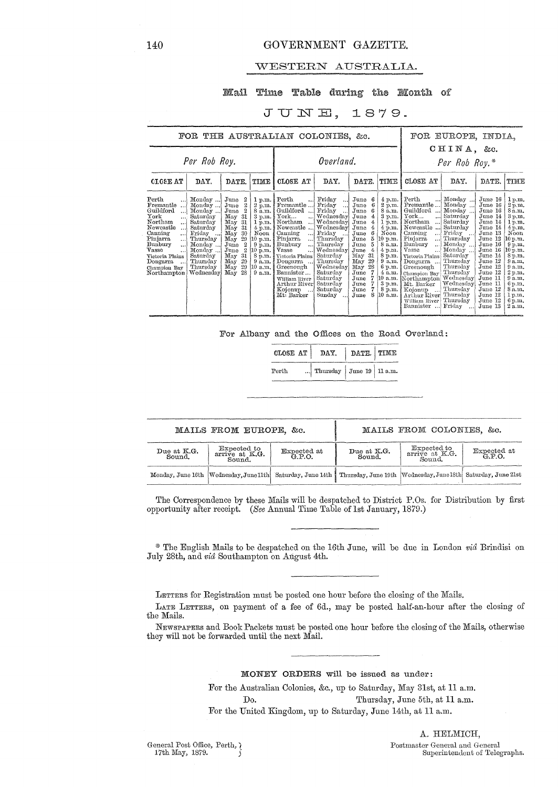#### WESTERN AUSTRALIA.

#### Mail Time Table during the Month of

### JUNE, 1879.

|                                                                                                                                                                                                                                                                          | FOR THE AUSTRALIAN COLONIES, &c.                                                                                                                          |                                                                                                                                                                                                                                                                                                       |                                                                                                                                                                                                             |                                                                                                                                                                                                                                                                                                  |                                                                                                                                                                                                                                  | FOR EUROPE, INDIA,                                                                                                                                                                                          |                                                                                                                                                                                       |                                                                                                                                                                                                                                                                                                                                                                        |                                                                                                                                                                                                                                  |                                                                                                                                                                                                                                       |                                                                                                                                                                                                 |
|--------------------------------------------------------------------------------------------------------------------------------------------------------------------------------------------------------------------------------------------------------------------------|-----------------------------------------------------------------------------------------------------------------------------------------------------------|-------------------------------------------------------------------------------------------------------------------------------------------------------------------------------------------------------------------------------------------------------------------------------------------------------|-------------------------------------------------------------------------------------------------------------------------------------------------------------------------------------------------------------|--------------------------------------------------------------------------------------------------------------------------------------------------------------------------------------------------------------------------------------------------------------------------------------------------|----------------------------------------------------------------------------------------------------------------------------------------------------------------------------------------------------------------------------------|-------------------------------------------------------------------------------------------------------------------------------------------------------------------------------------------------------------|---------------------------------------------------------------------------------------------------------------------------------------------------------------------------------------|------------------------------------------------------------------------------------------------------------------------------------------------------------------------------------------------------------------------------------------------------------------------------------------------------------------------------------------------------------------------|----------------------------------------------------------------------------------------------------------------------------------------------------------------------------------------------------------------------------------|---------------------------------------------------------------------------------------------------------------------------------------------------------------------------------------------------------------------------------------|-------------------------------------------------------------------------------------------------------------------------------------------------------------------------------------------------|
| Per Rob Roy.                                                                                                                                                                                                                                                             |                                                                                                                                                           |                                                                                                                                                                                                                                                                                                       |                                                                                                                                                                                                             |                                                                                                                                                                                                                                                                                                  | Overland.                                                                                                                                                                                                                        |                                                                                                                                                                                                             | CHINA, &c.<br>Per Rob Roy.*                                                                                                                                                           |                                                                                                                                                                                                                                                                                                                                                                        |                                                                                                                                                                                                                                  |                                                                                                                                                                                                                                       |                                                                                                                                                                                                 |
| <b>CLOSE AT</b>                                                                                                                                                                                                                                                          | DAY.                                                                                                                                                      | DATE.                                                                                                                                                                                                                                                                                                 | TIME                                                                                                                                                                                                        | CLOSE AT                                                                                                                                                                                                                                                                                         | DAY.                                                                                                                                                                                                                             | DATE.                                                                                                                                                                                                       | TIME                                                                                                                                                                                  | CLOSE AT                                                                                                                                                                                                                                                                                                                                                               | DAY.                                                                                                                                                                                                                             | DATE.                                                                                                                                                                                                                                 | TIME                                                                                                                                                                                            |
| Perth<br>Fremantle<br>Guildford<br>. 1<br>${\tt York}$<br>$\ddotsc$<br>Northam<br>$\ddotsc$<br>Newcastle<br>$\cdot \cdot$<br>Canning<br>$\ddotsc$<br>Pinjarra<br>$\ldots$<br>Bunbury<br>$\ddotsc$<br>Vasse<br>Victoria Plains<br>Dongarra<br>Champion Bay<br>Northampton | Monday<br>Monday<br>Monday<br>Saturday<br>Saturday<br>Saturday<br>Friday<br>Thursday<br>Monday<br>Monday<br>Saturday<br>Thursday<br>Thursday<br>Wednesday | June<br>2<br>$\boldsymbol{2}$<br>June<br>$\boldsymbol{2}$<br>June<br>-31<br>May<br>-31<br>May<br>-31<br>May<br>May<br>30<br>29<br>$\rm\,M_{\rm 2V}$<br>$^{2}$<br>June<br>$^{2}$<br>June<br>31<br>$_{\rm{May}}$<br>29<br>$\mathbf{M}_{\mathbf{0}}\mathbf{v}$<br>29<br>$_{\rm May}$<br>28<br>$\rm{May}$ | 1 p.m.<br>$2 \bar{p}$ .m.<br>8 a.m.<br>3 p.m.<br>1 p.m.<br>$4\,\mathrm{p.m.}$<br>$\overline{\text{Noon}}$<br>10 p.m.<br>$9$ p.m.<br>$10 \text{ p.m.}$<br>$8\,\mathrm{p.m.}$<br>9 a.m.<br>$10$ a.m.<br>9a.m. | Perth<br>Fremantle<br>Guildford<br>${\tt York}$<br><br>Northam<br>$\ddots$<br>Newcastle<br>Canning<br>$\ddotsc$<br>Pinjarra<br>!<br>Bunbury<br>$\ddotsc$<br>Vasse<br>Victoria Plains<br>Dongarra<br>Greenough<br>Bannister<br>William River<br>Arthur River<br>Kojonup<br>$\sim$ .<br>Mt: Barker | Friday<br><br>Friday<br>$\ddotsc$<br>Friday<br>Wednesday<br>Wednesday<br>Wednesday<br>Friday<br>Thursday<br>Thursday<br>Wednesday<br>Saturday<br>Thursday<br>Wednesdav<br>Saturday<br>Saturday<br>Saturday<br>Saturday<br>Sunday | June<br>June<br>6<br>-6<br>June<br>June<br>June<br>June<br>4<br>June<br>-6<br>5<br>June<br>5<br>June<br>June<br>4<br>May<br>-31<br>29<br>May<br>28<br>May<br>June<br>7<br>June<br>June<br>June<br>8<br>June | 4 p.m.<br>2 p.m.<br>8 a.m.<br>3 p.m.<br>1 p.m.<br>$4$ p.m.<br>Noon<br>$10$ p.m.<br>8 a.m.<br>$4$ p.m.<br>8 p.m.<br>9a.m.<br>6 p.m.<br>4a.m.<br>10 a.m.<br>3 p.m.<br>8 p.m.<br>10 a.m. | Perth<br>$\ddotsc$<br>Fremantle<br>Guildford<br>York<br>$\ddotsc$<br>Northam<br>$\ddotsc$<br>Newcastle<br>Canning<br>$\ddotsc$<br>Pinjarra<br>$\ddotsc$<br>Bunbury<br>Ω.<br>Vasse<br>$\ddotsc$<br>Victoria Plains<br>Dongarra.<br>Greenough<br>Champion Bay<br>Northampton Wednesday<br>Mt. Barker<br>Kojonup<br>المعدات<br>Arthur River<br>William River<br>Bannister | Monday<br>$\cdots$<br>Monday<br>Monday<br>Saturday<br>Saturday<br>Saturday<br>Friday<br>Thursday<br>Monday<br>Monday<br>Saturday<br>Thursday<br>Thursday<br>Thursday<br>Wednesday <br>Thursday<br>Thursday<br>Thursday<br>Friday | June 16<br>June 16<br>June 16<br>June 14<br>June 14<br>June 14<br>June 13<br>June 12<br>June 16<br>June 16<br>June 14<br>June 12<br>$\rm J$ une $\rm 12$<br>June 12<br>June 11<br>June 11<br>June 12<br>June 12<br>June 12<br>June 13 | 1 p.m.<br>2 p.m.<br>8 a.m.<br>3 p.m.<br>1 p.m.<br>4p.m.<br>Noon<br>10 p.m.<br>9 p.m.<br>10 p.m.<br>8p.m.<br>9a.m.<br>9a.m.<br>2 p.m.<br>9a.m.<br>6 p.m.<br>8 a.m.<br>1p.m.<br>6 p.m.<br>$2a$ m. |

For Albany and the Offices on the Road Overland:

|       | CLOSE AT   DAY.   DATE.   TIME  |  |  |  |
|-------|---------------------------------|--|--|--|
| Perth | Thursday $\int$ June 19 11 a.m. |  |  |  |

|                       | MAILS FROM EUROPE, &c.                                        |                                                            | MAILS FROM COLONIES, &c.                                         |                                                 |                    |  |  |  |  |
|-----------------------|---------------------------------------------------------------|------------------------------------------------------------|------------------------------------------------------------------|-------------------------------------------------|--------------------|--|--|--|--|
| Due at K.G.<br>Sound. | Expected to<br>arrive at K.G.<br>Expected at G.P.O.<br>Sound. |                                                            | Due at K.G.<br>Sound.                                            | <b>Expected to</b><br>arrive at K.G.<br>-Sound. | Expected at G.P.O. |  |  |  |  |
|                       |                                                               | Monday, June 16th Wednesday, June 11th Saturday, June 14th | Thursday, June 19th   Wednesday, June 18th   Saturday, June 21st |                                                 |                    |  |  |  |  |

The Correspondence by these Mails will be despatched to District P.Os. for Distribution by first opportunity after receipt. *(See* Annual Time Table oflst January, 1879.)

\* The English Mails to be despatched on the 16th June, will be due In London *via* Brindisi on July 28th, and *via* Southampton on August 4th.

LETTERS for Registration must be posted one hour before the closing of the Mails.

LATE LETTERS, on payment of a fee of 6d., may be posted half-an-hour after the closing of the Mails.

NEWSPAPERS and Book Packets must be posted one hour before the closing of the Mails, otherwise they will not be forwarded until the next Mail.

MONEY ORDERS will be issued as under:

For the Australian Oolonies, &c., up to Saturday, May 31st, at 11 a.m. Do. Thursday, June 5th, at 11 a.m. For the United Kingdom, up to Saturday, June 14th, at 11 a.m.

General Post Office, Perth,  $\chi$ 17th May, 1879.

A. HELMIOH, Postmaster General and General Superintendent of Telegraphs.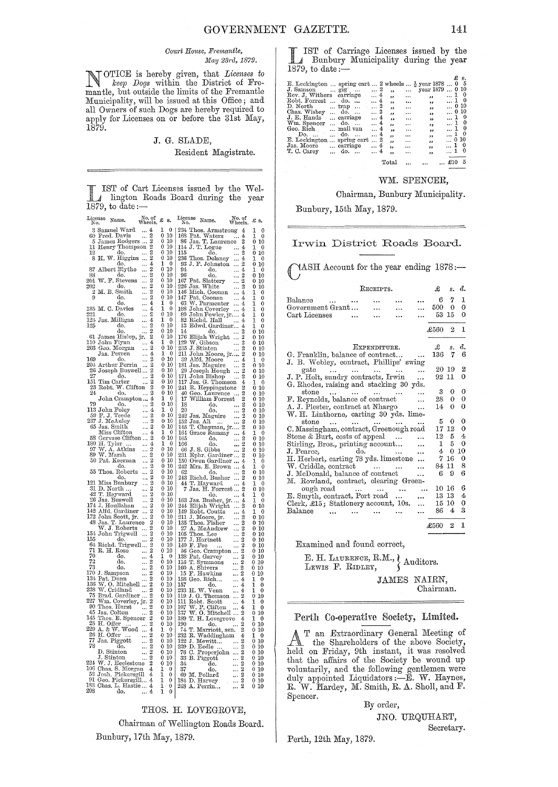#### Court House, Fremantle, May 23rd, 1879.

TOTICE is hereby given, that *Licenses to*<br>keep Dogs within the District of Fremantle, but outside the limits of the Fremantle Municipality, will be issued at this Office; and all Owners of such Dogs are hereby required to apply for Licenses on or before the 31st May, 1879.

#### J. G. SLADE,

#### Resident Magistrate.

IST of Cart Licenses issued by the Wel-I lington Roads Board during the year 1879, to date: $-$ 

| License<br>No. |                | Name.                                                          | io. of<br>Wheels.   | £                 | s.                 | License<br>No.                       | Name.                                          | io, of<br>Wheels.                | £                               |
|----------------|----------------|----------------------------------------------------------------|---------------------|-------------------|--------------------|--------------------------------------|------------------------------------------------|----------------------------------|---------------------------------|
| 3              |                | Samuel Ward                                                    | 4                   | 1                 | 0                  | 234 Thos.                            | Armstrong                                      | 4                                | 0                               |
| 60             |                | Fred. Davis                                                    | 2<br>2              | 0<br>0            | 10<br>10           | 168                                  | Pat. Waters<br>Jas. T. Laurence<br>J. T. Logue | 4                                | 1<br>0                          |
| 11             |                | James Rodgers<br>Henry Thompson                                | 2                   | 0                 | 10                 | 86<br>114                            |                                                | 2<br>4                           | 10<br>0<br>ı<br>0               |
| 12             |                | do.                                                            | 2                   | 0                 | 10                 | 115                                  | đо.                                            | 2                                | 0<br>10                         |
|                |                | H. W. Higgins                                                  | 2                   | 0                 | 10                 | 236<br>$_{\rm Thos.}$                | Delaney                                        | 4                                | 1<br>0                          |
| 87             |                | dο<br>Albert Blythe                                            | 4<br>2              | 1<br>0            | 0<br>10            | 93<br>94                             | J. F. Johnston<br>do,                          | 2<br>4                           | 0<br>10<br>1<br>0               |
| 88             |                | đ٥.                                                            | 2                   | $\mathbf 0$       | 10                 | 96                                   | do.                                            | 2                                | 0<br>10                         |
| 201            |                | W. F. Stevens                                                  | $\overline{2}$      | $\mathbf 0$       | $_{10}$            | 167                                  | Pat. Slattery                                  | 2                                | 0<br>10                         |
| 202            |                | do.<br>M. B. Smith                                             | 2<br><br>2          | 0<br>0            | 10<br>$_{10}$      | 226<br>Jas.<br>146                   | $\operatorname{White}$                         | 2                                | $\mathbf{0}$<br>10              |
|                |                | do.                                                            | <br>$\overline{2}$  | 0                 | 10                 | 147                                  | Mich. Coonan<br>Pat. Coonan                    | 4<br>4                           | 1<br>0<br>1<br>0                |
|                |                | do.                                                            | $\overline{4}$      | 1                 | 0                  | 63                                   | W. Parmenter                                   | 4                                | 1<br>0                          |
| 185            |                | M. C. Davies                                                   | 4<br>               | 1                 | $\theta$           | 188                                  | John Coverley                                  | 4                                | 0<br>1                          |
| 221<br>124     |                | do.<br>Jas. Milligan                                           | 2<br><br>4          | $\bf{0}$<br>1     | 10<br>0            | 80<br>82                             | John Fowler, jr<br>Richd. Hall                 | 4<br>4                           | 0<br>1<br>0                     |
| 125            |                | do,                                                            | 2                   | 0                 | 10                 | 13                                   | Edwd. Gardiner                                 | 4                                | 1<br>0                          |
|                |                | do.                                                            | $\overline{2}$      | 0                 | 10                 | 14                                   | do.                                            | $\overline{2}$                   | 0<br>10                         |
| 61<br>110      |                | James Hislop, jr.<br>John Flynn                                | 2<br>4              | 0<br>1            | 10<br>O            | 176<br>129<br>W.                     | Elijah Wright<br>Gibson                        | 2<br>$\overline{2}$              | 0<br>10                         |
| 203            |                | Geo. Morgan                                                    | 2                   | 0                 | 10                 | 235<br>J. Stinton                    |                                                | $\overline{2}$                   | 0<br>10<br>0<br>10              |
|                |                | Jas. Perren                                                    | 4                   | 1                 | 0                  | 211                                  | John Moore, jr.                                | 2                                | 0<br>10                         |
| 169<br>204     |                | do.                                                            | 2<br>$\overline{2}$ | 0<br>0            | 10<br>10           | 39                                   | Alfd. Moore<br>Jas. Maguire                    | 4                                | 1<br>0                          |
| 26             |                | Arthur Perrin<br>Joseph Buswell                                | $\overline{2}$      | 0                 | 10                 | 181<br>29                            | Joseph Hough                                   | 2<br>2                           | 10<br>0<br>10                   |
| 27             |                | đo.                                                            | $\overline{2}$      | 0                 | 10                 | 171                                  | John Bishop                                    | $\overline{2}$                   | 10                              |
| 151            |                | Tim Carter                                                     | $\overline{2}$      | 0                 | 10                 | 117                                  | Jas. G. Thomson                                | 4                                | 1<br>0                          |
| 23<br>24       | Robt.          | W. Clifton<br>do.                                              | $\overline{2}$<br>2 | 0<br>0            | $^{10}$<br>$_{10}$ | 241<br>40                            | R. Heppingstone                                | 2<br>$\overline{2}$              | 10                              |
|                |                | John Crampton                                                  | 4                   | 1                 | 0                  | 17                                   | Geo. Laurence<br>William Forrest               | 2                                | 10<br>0<br>0<br>10              |
| 79             |                | do.                                                            | 2                   | 0                 | $_{10}$            | 18                                   | do.                                            | 2                                | 0<br>10                         |
| 113            |                | John Foley<br>F. J. Teede                                      | 4                   | 1<br>0            | o<br>10            | 20                                   | do.                                            | $\overline{2}$<br>$\overline{2}$ | 0<br>10                         |
| 59<br>237      |                | J. McAuley                                                     | 2<br>$\overline{2}$ | 0                 | 10                 | 242 Jas. Maguire<br>152<br>Jas. Ali  |                                                | $\overline{2}$                   | 0<br>10<br>0<br>10              |
| 65             |                | Jas. Smith                                                     | $\overline{2}$      | 0                 | 10                 | 145                                  | T. Chapman, jr                                 | 2                                | 0<br>10                         |
|                |                | Miss Clifton                                                   | 4                   | 1                 | 0                  | $164\,$                              | Grace Ramsay                                   | 4                                | 1<br>0                          |
| 58<br>180      |                | Gervase Clifton<br>Tyler                                       | $\overline{2}$<br>4 | 0<br>ı            | 10<br>0            | 165<br>166                           | do.<br>do.                                     | 2<br>2                           | 0<br>10<br>10<br>0              |
| 97             |                |                                                                | 2                   | 0                 | 10                 | 66                                   | J.S. Gibbs                                     | 2                                | 0<br>10                         |
| 89             |                | W. A. Atkins<br>W. Marsh                                       | 2<br>               | 0                 | 10                 | 231                                  | Ephr. Gardiner                                 | 2                                | 0<br>10                         |
| 50             |                | Pat. Keernan                                                   | $\overline{2}$<br>2 | 0<br>0            | 10<br>10           | 150                                  | Owen Gardiner                                  | 4                                | 1                               |
| 55             |                | do.<br>Thos, Roberts                                           | 2                   | 0                 | 10                 | 242<br>62                            | Mrs. E. Brown<br>do.                           | 4<br>2                           | 0<br>10                         |
|                |                | do.                                                            | $\overline{2}$      | 0                 | 10                 | 243                                  | Richd. Busher                                  | 2                                | 10<br>0                         |
| 121            |                | Miss Bunbury                                                   | 2<br>2              | 0                 | 10<br>10           | 44                                   | T. Hayward                                     | 4                                | 1<br>0                          |
| 31<br>42       | т.             | D. North<br>Hayward                                            | $\overline{2}$      | 0<br>0            | 10                 | Jas. H.                              | Forrest<br>do.                                 | 2<br>4                           | 10<br>1<br>0                    |
| 96             |                | Jas. Buswell                                                   | $\overline{2}$      | 0                 | $^{10}$            | 163                                  | Jas. Busher, jr.                               | 4                                | 1<br>0                          |
| 174<br>142     | J.             | Houllahan                                                      | 2<br><br>2          | 0<br>0            | 10<br>$^{10}$      | 244<br>Elijah                        | ${\rm Wright}$                                 | $\overline{2}$<br>.              | 0<br>10                         |
| 172            |                | Alfd. Gardiner<br>John Scott, jr.                              | 2<br>$\ddotsc$      | 0                 | 10                 | 149.<br>211                          | Robt. Coutts<br>J. Moore, jr.                  | 4<br>2                           | 1<br>ŋ<br>0<br>10               |
| 48             |                | Jas. T. Laurence                                               | 2                   | 0                 | $_{10}$            | 135                                  | Thos. Fisher                                   | 2                                | 0<br>10                         |
|                |                | W. J. Roberts<br>John Trigwell                                 | $\overline{2}$      | 0                 | 10                 | 27<br>A                              | . McAndrew                                     | 2                                | 0<br>10                         |
| 154<br>155     |                | do.                                                            | 2<br><br>2          | 0<br>0            | 10<br>10           | Thos. Lee<br>105<br>177              | J. Hartnett                                    | 2<br>2                           | 0<br>10<br>O<br>10              |
| 64             |                | Richd. Trigwell                                                | $\overline{2}$      | 0                 | 10                 | 140<br>F.<br>Fee                     |                                                |                                  | 0<br>10                         |
| 71             |                | R. H. Rose                                                     | $\overline{2}$<br>  | 0                 | 10                 | 56                                   | Geo. Crampton                                  | 2                                | 0<br>10                         |
| 72             |                | do.<br>do.                                                     | 4<br><br>2          | 1<br>$\mathbf{0}$ | o<br>10            | 138<br>т<br>116                      | Pat. Garvey<br>. Symmons                       | 2<br><br>$\overline{2}$          | 0<br>10<br>$\overline{0}$<br>10 |
|                |                | do.                                                            | 2                   | 0                 | 10                 | 160                                  | A. Shivers                                     | <br>$\overline{2}$<br>           | 0<br>10                         |
| 170            |                | J. Sampson                                                     | 2                   | 0                 | 10                 | 15<br>$\mathbf{F}.$                  | Hawkins                                        | 2                                | 0<br>10                         |
| 134<br>136     |                | Pat. Dunn                                                      | 2                   | 0                 | 10                 | 158                                  | Geo. Rich                                      | 4                                | 1<br>0                          |
| 238            |                | W.O. Mitchell<br>W. Cridland                                   | 2<br>2              | 0<br>0            | 10<br>10           | 157<br>H.W.<br>233                   | do.<br>Venn                                    | 4<br>4                           | 1<br>0<br>1<br>0                |
| 75             |                | Brad, Gardiner                                                 | $\overline{2}$      | 0                 | 10                 | 119                                  | J. G. Thomson                                  | 2                                | 0<br>10                         |
| 227<br>90      |                | Wm. Coverley, jr.                                              | 2                   | 0                 | 10                 | 111                                  | Robt. Scott                                    | 4                                | 1<br>0                          |
| 45             |                | Thos. Hurst<br>Jas. Colton                                     | 2                   | 0<br>0            | $_{10}$<br>10      | Ρ.<br>107<br>w<br>137                | Clifton<br>W. O. Mitchell                      | 4<br>2                           | 0<br>0<br>10                    |
| 145            | $_{\rm Thos.}$ | E. Spencer                                                     | 2                   | 0                 | 10                 | 189                                  | H. Lovegrove                                   | 4                                | 1<br>0                          |
| 25             |                | $\operatorname{H.~Offer}_{\sim \neg \nabla \cdot \text{Wood}}$ | 2                   | 0                 | 10                 | 190                                  | do.                                            | 2                                | $\boldsymbol{0}$<br>10          |
| 229<br>26      |                | H. Offer                                                       | 4<br>2              | 1<br>0            | 0<br>10            | 74<br>т<br>232                       | Marriott,                                      | $\overline{2}$<br>sen.           | 0<br>10<br>n                    |
|                |                | Jas. Piggott                                                   | $\overline{2}$      | 0                 | 10                 | R.<br>122                            | Waddingham<br>J. Mewitt                        | 4<br>2                           | 1<br>0<br>10                    |
| 77<br>78       |                | do.                                                            | 2                   | 0                 | 10                 | 239<br>D. Eedle                      |                                                | $\overline{2}$                   | 0<br>10                         |
|                | D.             | Stinton                                                        | $\overline{2}$<br>  | 0                 | 10<br>10           | 76<br>C.                             | Properjohn                                     | $\overline{2}$<br>               | 0<br>10                         |
| 994            |                | J. Stinton<br>W. J. Ecclestone                                 | $\overline{2}$      | 0<br>0            | 10                 | 33<br>В.<br>34                       | Piggott<br>do.                                 | 2<br><br>2                       | 0<br>10<br>0<br>10              |
| $^{106}$       |                | Chas. S. Morgan                                                | 4                   | 1                 | 0                  | 37                                   | do.                                            | 2                                | 0<br>10                         |
| 53             |                | Josh, Pickersgill<br>Geo. Pickersgill                          | 4                   | 1                 | 0                  | 69                                   | M. Pollard                                     | 2                                | 0<br>10                         |
| 91<br>183      |                | Chas. L. Hastie 4                                              | 4                   | 1<br>1            | 0<br>0             | $184 \, \text{D}$ .<br>248 A. Perrin | Harvey                                         | 2                                | 0<br>10<br>10                   |
| 208            |                | do.                                                            | 4                   |                   | 0                  |                                      |                                                |                                  |                                 |

#### THOS. H. LOVEGROVE,

Chairman of Wellington Roads Board. Bunbury, 17th May, 1879.

IST of Carriage Licenses issued by the Bunbury Municipality during the year  $1879$ , to date:-

|                                                                 |          |                       |                       |                |           |                          |              | æ. | в.          |
|-----------------------------------------------------------------|----------|-----------------------|-----------------------|----------------|-----------|--------------------------|--------------|----|-------------|
| E. Leckington  spring cart  2 wheels $\frac{1}{2}$ year 1878  0 |          |                       |                       |                |           |                          |              |    | - 5         |
| J. Samson                                                       |          | $\ldots$ gig $\ldots$ | $\ldots$ 2            | $\bullet$      |           | year 1879                | $\dots 0 10$ |    |             |
| Rev. J. Withers carriage                                        |          |                       | $\ldots$ <sup>4</sup> | $\bullet$      | $\cdots$  | $\overline{\mathbf{z}}$  | 1            |    | - 0         |
| Robt. Forrest                                                   | $\sim$   | do.                   | . . 4                 | $\overline{1}$ |           | "                        | $\ldots$ 1 0 |    |             |
| D. North                                                        |          | trap<br>$\ddotsc$     | $\ldots$ 2            | ,,             | $\cdots$  | $^{\prime\prime}$        | $\dots 0 10$ |    |             |
| Chas. Wishev                                                    |          | do.                   | 2                     | 33             |           | ,,                       | 0 10         |    |             |
| J. E. Hands                                                     |          | carriage              | 4                     | ,              | $\cdots$  | $\overline{\phantom{a}}$ | 1            |    | - 0         |
| Wm. Spencer                                                     | $\cdots$ | do.                   | . 4                   | ,,             |           | 5.5                      | 1 0          |    |             |
| Geo. Rich                                                       |          | mail van              | $\ldots$ <sup>4</sup> | $\bullet$      |           | وو                       |              |    | $\dots$ 1 0 |
| Do.                                                             |          | do.                   | . . 4                 | ,,             | $\cdots$  | ,,                       | 1            |    | -0          |
| E. Leckington                                                   |          | spring cart           | 2                     | 52             | $\ddotsc$ | ,,                       | 0            |    | 10          |
| Jas. Moore                                                      |          | carriage              | $\ldots$ <sup>4</sup> | ,,             |           | ,,                       | 1            |    | - 0         |
| T. C. Carey                                                     |          | do.                   | 4                     | ,,             |           | ,,                       | 1            |    | 0           |
|                                                                 |          |                       |                       |                |           |                          |              |    |             |
|                                                                 |          |                       |                       | Total          |           |                          | $\ldots$ £10 |    | - 5         |

#### WM. SPENCER,

Chairman, Bunbury Municipality.

Bunbury, 15th May, 1879.

#### Irwin District Roads Board.

YASH Account for the year ending 1878:-

|                                                                    | RECEIPTS.                |           |           | £     | s.               | d.          |
|--------------------------------------------------------------------|--------------------------|-----------|-----------|-------|------------------|-------------|
| Balance                                                            |                          |           |           | 6     | 7                | 1           |
| Government Grant                                                   |                          | $\ddotsc$ | $\cdots$  | 500   | $\Omega$         | 0           |
| Cart Licenses                                                      |                          |           |           |       | 53 15            | 0           |
|                                                                    |                          |           |           |       |                  |             |
|                                                                    |                          |           |           | £560  | $\boldsymbol{2}$ | 1           |
|                                                                    |                          |           |           |       |                  |             |
|                                                                    | EXPENDITURE.             |           |           | £     | s.               | d.          |
| G. Franklin, balance of contract                                   |                          |           |           | 136   | 7                | 6           |
| J. B. Webley, contract, Phillips' swing                            |                          |           |           |       |                  |             |
| gate<br>المماري الممتاز الممتاز المتد                              |                          |           | .         |       | 20 19            | 2           |
| J. P. Holt, sundry contracts, Irwin                                |                          |           | $\ddotsc$ | 92 11 |                  | 0           |
| G. Rhodes, raising and stacking 30 yds.                            |                          |           |           |       |                  |             |
| $_{\rm stone}$<br>                                                 |                          |           | .         | 3     | 0                | 0           |
| F. Reynolds, balance of contract                                   |                          |           | $\ddotsc$ | 28    | 0                | 0           |
| A. J. Plester, contract at Nhargo                                  |                          |           | $\ddotsc$ | 14    | $\Omega$         | 0           |
| W. H. Linthorne, carting 30 yds. lime-                             |                          |           |           |       |                  |             |
| stone<br>$\mathbf{r}$ and $\mathbf{r}$ are the set of $\mathbf{r}$ |                          |           | $\ddotsc$ | 5     | 0                | 0           |
| C. Massingham, contract, Greenough road                            |                          |           |           | 17    | 12               | $\mathbf 0$ |
| Stone & Burt, costs of appeal                                      |                          |           |           |       | 125              | 4           |
| Stirling, Bros., printing account                                  |                          |           |           | 1     | 5                | 0           |
| J. Pearce. do.                                                     | <b>Contract Contract</b> |           |           | 4.    | $\Omega$         | 10          |
| H. Herbert, carting 78 yds. limestone                              |                          |           | $\ddotsc$ |       | 716              | 0           |
| W. Criddle, contract                                               |                          |           | $\ddotsc$ |       | 84 11            | 8           |
| J. McDonald, balance of contract                                   |                          |           |           | 6     | 9                | 6           |
| M. Rowland, contract, clearing Green-                              |                          |           |           |       |                  |             |
| ough road                                                          | <b>ARCHITECT AREA</b>    |           | $\ddotsc$ |       | 10 16            | 6           |
| E. Smyth, contract, Port road                                      |                          |           |           |       | 13 13            | 4           |
| Clerk, £15; Stationery account, 10s.                               |                          |           |           |       | 15 10            | 0           |
| Balance                                                            |                          |           |           | 86    | 4                | - 3         |
|                                                                    |                          |           |           | £560  | $^{2}$           | 1           |

Examined and found correct,

E. H. LAURENCE, R.M.,  $\left\{\right.}$  Auditors. LEWIS F. RIDLEY,

> JAMES NAIRN, Chairman.

#### Perth Co-operative Society, Limited.

T an Extraordinary General Meeting of the Shareholders of the above Society, held on Friday, 9th instant, it was resolved that the affairs of the Society be wound up voluntarily, and the following gentlemen were<br>duly appointed Liquidators:—E. W. Haynes,<br>R. W. Hardey, M. Smith, R. A. Sholl, and F. Spencer.

#### By order,

JNO. URQUHART,

Secretary.

Perth, 12th May, 1879.